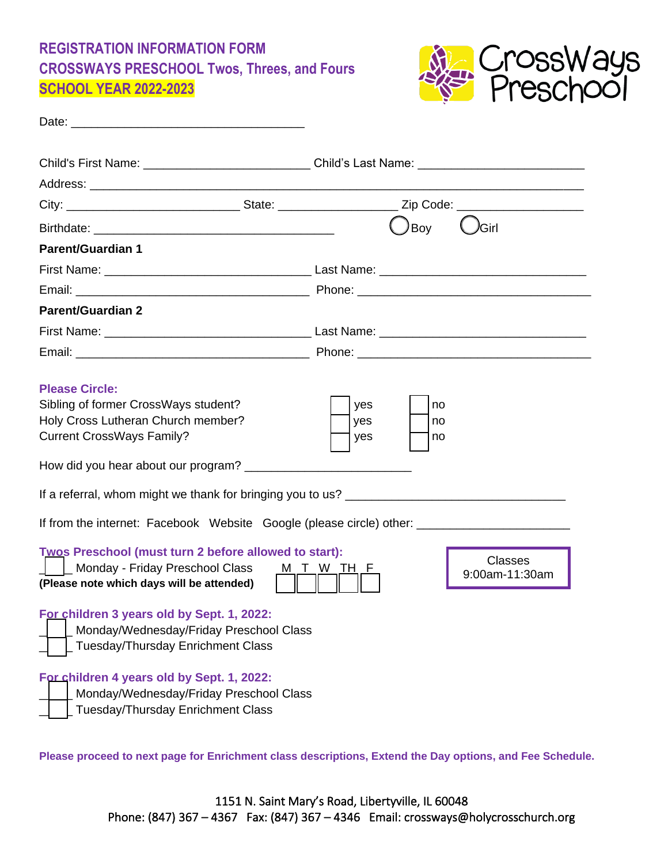# **REGISTRATION INFORMATION FORM CROSSWAYS PRESCHOOL Twos, Threes, and Fours SCHOOL YEAR 2022-2023**



| Child's First Name: ______________________________Child's Last Name: ______________________________                                                                                                                                                                                                                                                                                                                                                                                                                                           |  |      |       |  |
|-----------------------------------------------------------------------------------------------------------------------------------------------------------------------------------------------------------------------------------------------------------------------------------------------------------------------------------------------------------------------------------------------------------------------------------------------------------------------------------------------------------------------------------------------|--|------|-------|--|
|                                                                                                                                                                                                                                                                                                                                                                                                                                                                                                                                               |  |      |       |  |
|                                                                                                                                                                                                                                                                                                                                                                                                                                                                                                                                               |  |      |       |  |
|                                                                                                                                                                                                                                                                                                                                                                                                                                                                                                                                               |  | )Boy | )Girl |  |
| <b>Parent/Guardian 1</b>                                                                                                                                                                                                                                                                                                                                                                                                                                                                                                                      |  |      |       |  |
|                                                                                                                                                                                                                                                                                                                                                                                                                                                                                                                                               |  |      |       |  |
|                                                                                                                                                                                                                                                                                                                                                                                                                                                                                                                                               |  |      |       |  |
| <b>Parent/Guardian 2</b>                                                                                                                                                                                                                                                                                                                                                                                                                                                                                                                      |  |      |       |  |
|                                                                                                                                                                                                                                                                                                                                                                                                                                                                                                                                               |  |      |       |  |
|                                                                                                                                                                                                                                                                                                                                                                                                                                                                                                                                               |  |      |       |  |
| <b>Please Circle:</b><br>Sibling of former CrossWays student?<br>yes<br>no<br>Holy Cross Lutheran Church member?<br>yes<br>no<br><b>Current CrossWays Family?</b><br>yes<br>no<br>How did you hear about our program? ____________<br>If from the internet: Facebook Website Google (please circle) other: ______________________________<br><b>Twos Preschool (must turn 2 before allowed to start):</b><br><b>Classes</b><br>  Monday - Friday Preschool Class<br>M T W TH F<br>9:00am-11:30am<br>(Please note which days will be attended) |  |      |       |  |
| For children 3 years old by Sept. 1, 2022:<br>Monday/Wednesday/Friday Preschool Class<br>Tuesday/Thursday Enrichment Class<br>For children 4 years old by Sept. 1, 2022:<br>Monday/Wednesday/Friday Preschool Class<br>Tuesday/Thursday Enrichment Class                                                                                                                                                                                                                                                                                      |  |      |       |  |

**Please proceed to next page for Enrichment class descriptions, Extend the Day options, and Fee Schedule.**